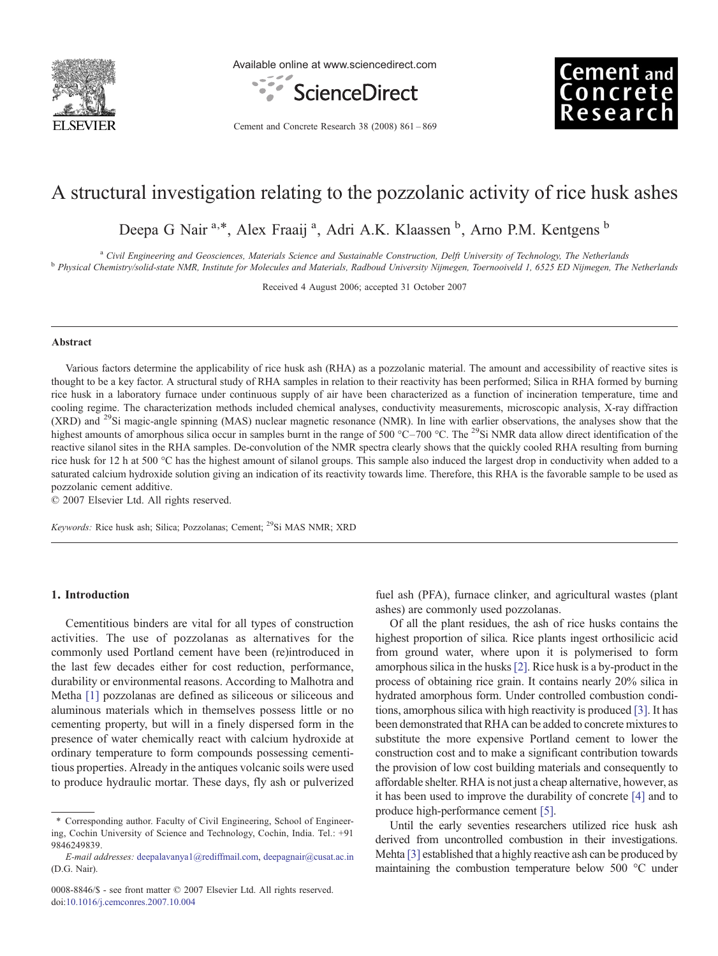

Available online at www.sciencedirect.com





Cement and Concrete Research 38 (2008) 861–869

# A structural investigation relating to the pozzolanic activity of rice husk ashes

Deepa G Nair<sup>a,\*</sup>, Alex Fraaij<sup>a</sup>, Adri A.K. Klaassen <sup>b</sup>, Arno P.M. Kentgens <sup>b</sup>

<sup>a</sup> Civil Engineering and Geosciences, Materials Science and Sustainable Construction, Delft University of Technology, The Netherlands<br><sup>b</sup> Physical Chemistry/solid-state NMR, Institute for Molecules and Materials, Radboud

Received 4 August 2006; accepted 31 October 2007

## Abstract

Various factors determine the applicability of rice husk ash (RHA) as a pozzolanic material. The amount and accessibility of reactive sites is thought to be a key factor. A structural study of RHA samples in relation to their reactivity has been performed; Silica in RHA formed by burning rice husk in a laboratory furnace under continuous supply of air have been characterized as a function of incineration temperature, time and cooling regime. The characterization methods included chemical analyses, conductivity measurements, microscopic analysis, X-ray diffraction (XRD) and <sup>29</sup>Si magic-angle spinning (MAS) nuclear magnetic resonance (NMR). In line with earlier observations, the analyses show that the highest amounts of amorphous silica occur in samples burnt in the range of 500 °C–700 °C. The <sup>29</sup>Si NMR data allow direct identification of the reactive silanol sites in the RHA samples. De-convolution of the NMR spectra clearly shows that the quickly cooled RHA resulting from burning rice husk for 12 h at 500 °C has the highest amount of silanol groups. This sample also induced the largest drop in conductivity when added to a saturated calcium hydroxide solution giving an indication of its reactivity towards lime. Therefore, this RHA is the favorable sample to be used as pozzolanic cement additive.

© 2007 Elsevier Ltd. All rights reserved.

Keywords: Rice husk ash; Silica; Pozzolanas; Cement; <sup>29</sup>Si MAS NMR; XRD

### 1. Introduction

Cementitious binders are vital for all types of construction activities. The use of pozzolanas as alternatives for the commonly used Portland cement have been (re)introduced in the last few decades either for cost reduction, performance, durability or environmental reasons. According to Malhotra and Metha [\[1\]](#page-8-0) pozzolanas are defined as siliceous or siliceous and aluminous materials which in themselves possess little or no cementing property, but will in a finely dispersed form in the presence of water chemically react with calcium hydroxide at ordinary temperature to form compounds possessing cementitious properties. Already in the antiques volcanic soils were used to produce hydraulic mortar. These days, fly ash or pulverized fuel ash (PFA), furnace clinker, and agricultural wastes (plant ashes) are commonly used pozzolanas.

Of all the plant residues, the ash of rice husks contains the highest proportion of silica. Rice plants ingest orthosilicic acid from ground water, where upon it is polymerised to form amorphous silica in the husks[\[2\]](#page-8-0). Rice husk is a by-product in the process of obtaining rice grain. It contains nearly 20% silica in hydrated amorphous form. Under controlled combustion conditions, amorphous silica with high reactivity is produced [\[3\]](#page-8-0). It has been demonstrated that RHA can be added to concrete mixtures to substitute the more expensive Portland cement to lower the construction cost and to make a significant contribution towards the provision of low cost building materials and consequently to affordable shelter. RHA is not just a cheap alternative, however, as it has been used to improve the durability of concrete [\[4\]](#page-8-0) and to produce high-performance cement [\[5\]](#page-8-0).

Until the early seventies researchers utilized rice husk ash derived from uncontrolled combustion in their investigations. Mehta [\[3\]](#page-8-0) established that a highly reactive ash can be produced by maintaining the combustion temperature below 500 °C under

Corresponding author. Faculty of Civil Engineering, School of Engineering, Cochin University of Science and Technology, Cochin, India. Tel.: +91 9846249839.

E-mail addresses: [deepalavanya1@rediffmail.com](mailto:deepalavanya1@rediffmail.com), [deepagnair@cusat.ac.in](mailto:deepagnair@cusat.ac.in) (D.G. Nair).

<sup>0008-8846/\$ -</sup> see front matter © 2007 Elsevier Ltd. All rights reserved. doi:[10.1016/j.cemconres.2007.10.004](http://dx.doi.org/10.1016/j.cemconres.2007.10.004)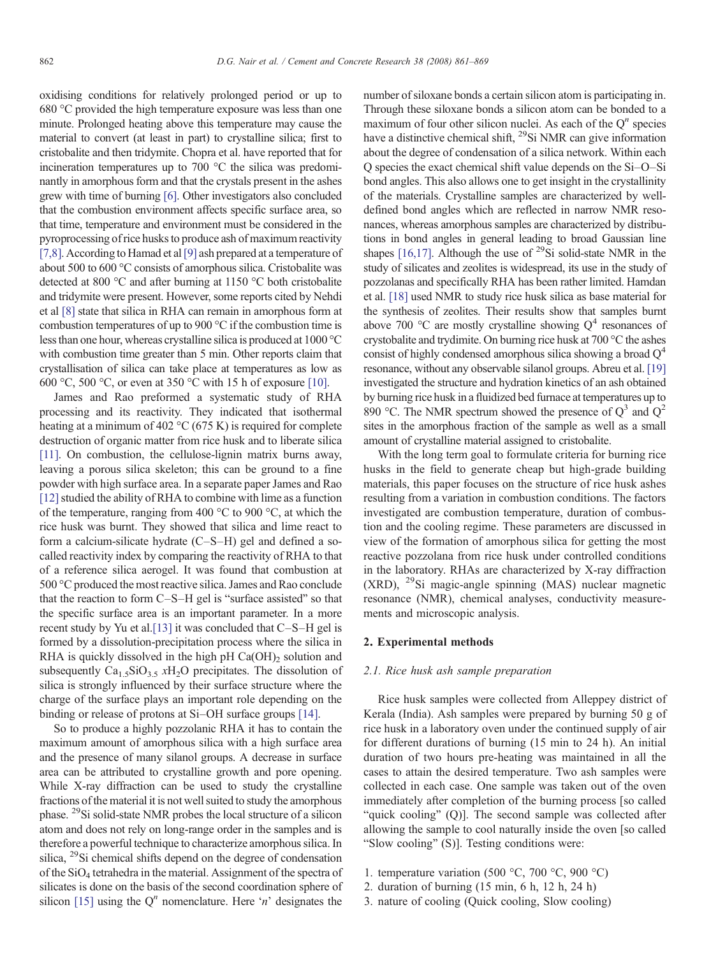oxidising conditions for relatively prolonged period or up to 680 °C provided the high temperature exposure was less than one minute. Prolonged heating above this temperature may cause the material to convert (at least in part) to crystalline silica; first to cristobalite and then tridymite. Chopra et al. have reported that for incineration temperatures up to 700 °C the silica was predominantly in amorphous form and that the crystals present in the ashes grew with time of burning [\[6\].](#page-8-0) Other investigators also concluded that the combustion environment affects specific surface area, so that time, temperature and environment must be considered in the pyroprocessing of rice husks to produce ash of maximum reactivity [\[7,8\].](#page-8-0) According to Hamad et al [\[9\]](#page-8-0) ash prepared at a temperature of about 500 to 600 °C consists of amorphous silica. Cristobalite was detected at 800 °C and after burning at 1150 °C both cristobalite and tridymite were present. However, some reports cited by Nehdi et al [\[8\]](#page-8-0) state that silica in RHA can remain in amorphous form at combustion temperatures of up to 900 °C if the combustion time is less than one hour, whereas crystalline silica is produced at 1000 °C with combustion time greater than 5 min. Other reports claim that crystallisation of silica can take place at temperatures as low as 600 °C, 500 °C, or even at 350 °C with 15 h of exposure [\[10\]](#page-8-0).

James and Rao preformed a systematic study of RHA processing and its reactivity. They indicated that isothermal heating at a minimum of 402  $\rm{^{\circ}C}$  (675 K) is required for complete destruction of organic matter from rice husk and to liberate silica [\[11\]](#page-8-0). On combustion, the cellulose-lignin matrix burns away, leaving a porous silica skeleton; this can be ground to a fine powder with high surface area. In a separate paper James and Rao [\[12\]](#page-8-0) studied the ability of RHA to combine with lime as a function of the temperature, ranging from 400 °C to 900 °C, at which the rice husk was burnt. They showed that silica and lime react to form a calcium-silicate hydrate (C–S–H) gel and defined a socalled reactivity index by comparing the reactivity of RHA to that of a reference silica aerogel. It was found that combustion at 500 °C produced the most reactive silica. James and Rao conclude that the reaction to form C–S–H gel is "surface assisted" so that the specific surface area is an important parameter. In a more recent study by Yu et al.[\[13\]](#page-8-0) it was concluded that C–S–H gel is formed by a dissolution-precipitation process where the silica in RHA is quickly dissolved in the high pH  $Ca(OH)_2$  solution and subsequently  $Ca<sub>1.5</sub>SiO<sub>3.5</sub> xH<sub>2</sub>O$  precipitates. The dissolution of silica is strongly influenced by their surface structure where the charge of the surface plays an important role depending on the binding or release of protons at Si–OH surface groups [\[14\].](#page-8-0)

So to produce a highly pozzolanic RHA it has to contain the maximum amount of amorphous silica with a high surface area and the presence of many silanol groups. A decrease in surface area can be attributed to crystalline growth and pore opening. While X-ray diffraction can be used to study the crystalline fractions of the material it is not well suited to study the amorphous phase. 29Si solid-state NMR probes the local structure of a silicon atom and does not rely on long-range order in the samples and is therefore a powerful technique to characterize amorphous silica. In silica, <sup>29</sup>Si chemical shifts depend on the degree of condensation of the SiO4 tetrahedra in the material. Assignment of the spectra of silicates is done on the basis of the second coordination sphere of silicon [\[15\]](#page-8-0) using the  $Q<sup>n</sup>$  nomenclature. Here 'n' designates the

number of siloxane bonds a certain silicon atom is participating in. Through these siloxane bonds a silicon atom can be bonded to a maximum of four other silicon nuclei. As each of the  $O<sup>n</sup>$  species have a distinctive chemical shift, <sup>29</sup>Si NMR can give information about the degree of condensation of a silica network. Within each Q species the exact chemical shift value depends on the Si–O–Si bond angles. This also allows one to get insight in the crystallinity of the materials. Crystalline samples are characterized by welldefined bond angles which are reflected in narrow NMR resonances, whereas amorphous samples are characterized by distributions in bond angles in general leading to broad Gaussian line shapes [\[16,17\].](#page-8-0) Although the use of  $^{29}Si$  solid-state NMR in the study of silicates and zeolites is widespread, its use in the study of pozzolanas and specifically RHA has been rather limited. Hamdan et al. [\[18\]](#page-8-0) used NMR to study rice husk silica as base material for the synthesis of zeolites. Their results show that samples burnt above 700 °C are mostly crystalline showing  $Q<sup>4</sup>$  resonances of crystobalite and trydimite. On burning rice husk at 700 °C the ashes consist of highly condensed amorphous silica showing a broad  $Q<sup>4</sup>$ resonance, without any observable silanol groups. Abreu et al. [\[19\]](#page-8-0) investigated the structure and hydration kinetics of an ash obtained by burning rice husk in a fluidized bed furnace at temperatures up to 890 °C. The NMR spectrum showed the presence of  $Q^3$  and  $Q^2$ sites in the amorphous fraction of the sample as well as a small amount of crystalline material assigned to cristobalite.

With the long term goal to formulate criteria for burning rice husks in the field to generate cheap but high-grade building materials, this paper focuses on the structure of rice husk ashes resulting from a variation in combustion conditions. The factors investigated are combustion temperature, duration of combustion and the cooling regime. These parameters are discussed in view of the formation of amorphous silica for getting the most reactive pozzolana from rice husk under controlled conditions in the laboratory. RHAs are characterized by X-ray diffraction  $(XRD)$ , <sup>29</sup>Si magic-angle spinning  $(MAS)$  nuclear magnetic resonance (NMR), chemical analyses, conductivity measurements and microscopic analysis.

# 2. Experimental methods

#### 2.1. Rice husk ash sample preparation

Rice husk samples were collected from Alleppey district of Kerala (India). Ash samples were prepared by burning 50 g of rice husk in a laboratory oven under the continued supply of air for different durations of burning (15 min to 24 h). An initial duration of two hours pre-heating was maintained in all the cases to attain the desired temperature. Two ash samples were collected in each case. One sample was taken out of the oven immediately after completion of the burning process [so called "quick cooling" (Q)]. The second sample was collected after allowing the sample to cool naturally inside the oven [so called "Slow cooling" (S)]. Testing conditions were:

- 1. temperature variation (500 °C, 700 °C, 900 °C)
- 2. duration of burning (15 min, 6 h, 12 h, 24 h)
- 3. nature of cooling (Quick cooling, Slow cooling)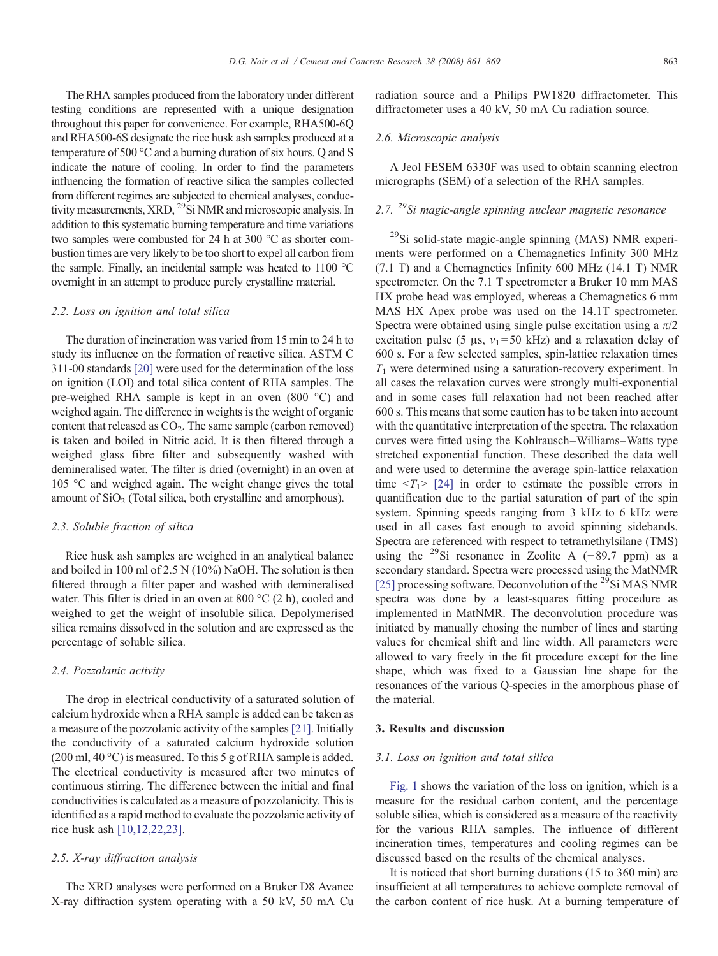The RHA samples produced from the laboratory under different testing conditions are represented with a unique designation throughout this paper for convenience. For example, RHA500-6Q and RHA500-6S designate the rice husk ash samples produced at a temperature of 500 °C and a burning duration of six hours. Q and S indicate the nature of cooling. In order to find the parameters influencing the formation of reactive silica the samples collected from different regimes are subjected to chemical analyses, conductivity measurements, XRD, <sup>29</sup>Si NMR and microscopic analysis. In addition to this systematic burning temperature and time variations two samples were combusted for 24 h at 300 °C as shorter combustion times are very likely to be too short to expel all carbon from the sample. Finally, an incidental sample was heated to 1100 °C overnight in an attempt to produce purely crystalline material.

### 2.2. Loss on ignition and total silica

The duration of incineration was varied from 15 min to 24 h to study its influence on the formation of reactive silica. ASTM C 311-00 standards [\[20\]](#page-8-0) were used for the determination of the loss on ignition (LOI) and total silica content of RHA samples. The pre-weighed RHA sample is kept in an oven (800 °C) and weighed again. The difference in weights is the weight of organic content that released as  $CO<sub>2</sub>$ . The same sample (carbon removed) is taken and boiled in Nitric acid. It is then filtered through a weighed glass fibre filter and subsequently washed with demineralised water. The filter is dried (overnight) in an oven at 105 °C and weighed again. The weight change gives the total amount of  $SiO<sub>2</sub>$  (Total silica, both crystalline and amorphous).

### 2.3. Soluble fraction of silica

Rice husk ash samples are weighed in an analytical balance and boiled in 100 ml of 2.5 N (10%) NaOH. The solution is then filtered through a filter paper and washed with demineralised water. This filter is dried in an oven at 800 °C (2 h), cooled and weighed to get the weight of insoluble silica. Depolymerised silica remains dissolved in the solution and are expressed as the percentage of soluble silica.

### 2.4. Pozzolanic activity

The drop in electrical conductivity of a saturated solution of calcium hydroxide when a RHA sample is added can be taken as a measure of the pozzolanic activity of the samples [\[21\]](#page-8-0). Initially the conductivity of a saturated calcium hydroxide solution (200 ml, 40 °C) is measured. To this 5 g of RHA sample is added. The electrical conductivity is measured after two minutes of continuous stirring. The difference between the initial and final conductivities is calculated as a measure of pozzolanicity. This is identified as a rapid method to evaluate the pozzolanic activity of rice husk ash [\[10,12,22,23\]](#page-8-0).

# 2.5. X-ray diffraction analysis

The XRD analyses were performed on a Bruker D8 Avance X-ray diffraction system operating with a 50 kV, 50 mA Cu radiation source and a Philips PW1820 diffractometer. This diffractometer uses a 40 kV, 50 mA Cu radiation source.

## 2.6. Microscopic analysis

A Jeol FESEM 6330F was used to obtain scanning electron micrographs (SEM) of a selection of the RHA samples.

# 2.7.  $^{29}$ Si magic-angle spinning nuclear magnetic resonance

29Si solid-state magic-angle spinning (MAS) NMR experiments were performed on a Chemagnetics Infinity 300 MHz (7.1 T) and a Chemagnetics Infinity 600 MHz (14.1 T) NMR spectrometer. On the 7.1 T spectrometer a Bruker 10 mm MAS HX probe head was employed, whereas a Chemagnetics 6 mm MAS HX Apex probe was used on the 14.1T spectrometer. Spectra were obtained using single pulse excitation using a  $\pi/2$ excitation pulse (5 μs,  $v_1$ =50 kHz) and a relaxation delay of 600 s. For a few selected samples, spin-lattice relaxation times  $T_1$  were determined using a saturation-recovery experiment. In all cases the relaxation curves were strongly multi-exponential and in some cases full relaxation had not been reached after 600 s. This means that some caution has to be taken into account with the quantitative interpretation of the spectra. The relaxation curves were fitted using the Kohlrausch–Williams–Watts type stretched exponential function. These described the data well and were used to determine the average spin-lattice relaxation time  $\langle T_1 \rangle$  [\[24\]](#page-8-0) in order to estimate the possible errors in quantification due to the partial saturation of part of the spin system. Spinning speeds ranging from 3 kHz to 6 kHz were used in all cases fast enough to avoid spinning sidebands. Spectra are referenced with respect to tetramethylsilane (TMS) using the <sup>29</sup>Si resonance in Zeolite A (−89.7 ppm) as a secondary standard. Spectra were processed using the MatNMR [\[25\]](#page-8-0) processing software. Deconvolution of the  $^{29}$ Si MAS NMR spectra was done by a least-squares fitting procedure as implemented in MatNMR. The deconvolution procedure was initiated by manually chosing the number of lines and starting values for chemical shift and line width. All parameters were allowed to vary freely in the fit procedure except for the line shape, which was fixed to a Gaussian line shape for the resonances of the various Q-species in the amorphous phase of the material.

## 3. Results and discussion

### 3.1. Loss on ignition and total silica

[Fig. 1](#page-3-0) shows the variation of the loss on ignition, which is a measure for the residual carbon content, and the percentage soluble silica, which is considered as a measure of the reactivity for the various RHA samples. The influence of different incineration times, temperatures and cooling regimes can be discussed based on the results of the chemical analyses.

It is noticed that short burning durations (15 to 360 min) are insufficient at all temperatures to achieve complete removal of the carbon content of rice husk. At a burning temperature of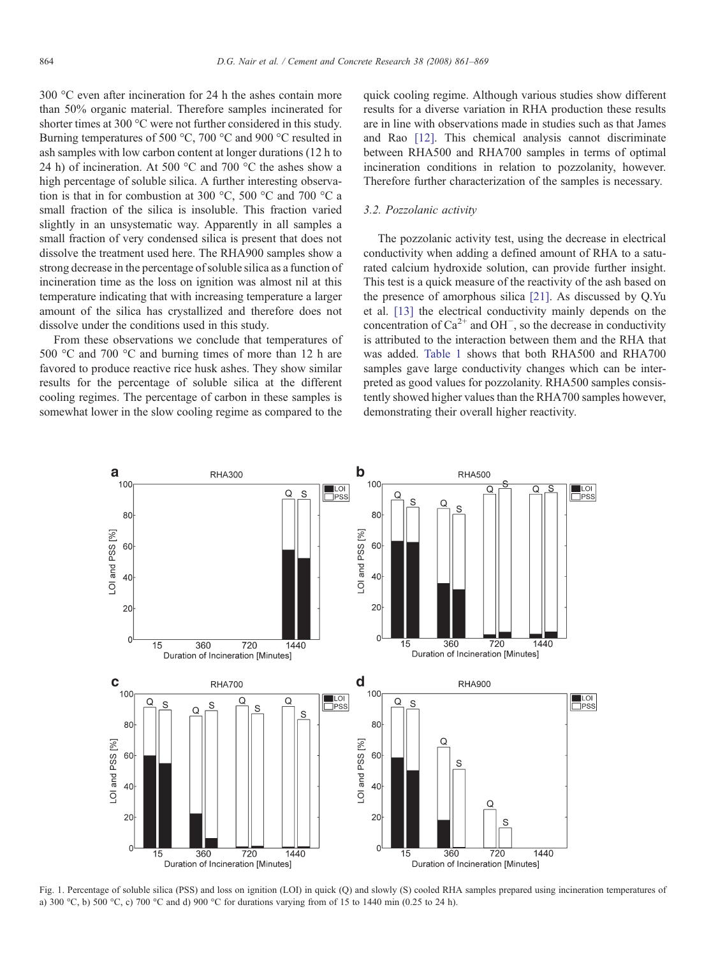<span id="page-3-0"></span>300 °C even after incineration for 24 h the ashes contain more than 50% organic material. Therefore samples incinerated for shorter times at 300 °C were not further considered in this study. Burning temperatures of 500 °C, 700 °C and 900 °C resulted in ash samples with low carbon content at longer durations (12 h to 24 h) of incineration. At 500 °C and 700 °C the ashes show a high percentage of soluble silica. A further interesting observation is that in for combustion at 300 °C, 500 °C and 700 °C a small fraction of the silica is insoluble. This fraction varied slightly in an unsystematic way. Apparently in all samples a small fraction of very condensed silica is present that does not dissolve the treatment used here. The RHA900 samples show a strong decrease in the percentage of soluble silica as a function of incineration time as the loss on ignition was almost nil at this temperature indicating that with increasing temperature a larger amount of the silica has crystallized and therefore does not dissolve under the conditions used in this study.

From these observations we conclude that temperatures of 500 °C and 700 °C and burning times of more than 12 h are favored to produce reactive rice husk ashes. They show similar results for the percentage of soluble silica at the different cooling regimes. The percentage of carbon in these samples is somewhat lower in the slow cooling regime as compared to the quick cooling regime. Although various studies show different results for a diverse variation in RHA production these results are in line with observations made in studies such as that James and Rao [\[12\]](#page-8-0). This chemical analysis cannot discriminate between RHA500 and RHA700 samples in terms of optimal incineration conditions in relation to pozzolanity, however. Therefore further characterization of the samples is necessary.

### 3.2. Pozzolanic activity

The pozzolanic activity test, using the decrease in electrical conductivity when adding a defined amount of RHA to a saturated calcium hydroxide solution, can provide further insight. This test is a quick measure of the reactivity of the ash based on the presence of amorphous silica [\[21\].](#page-8-0) As discussed by Q.Yu et al. [\[13\]](#page-8-0) the electrical conductivity mainly depends on the concentration of  $Ca^{2+}$  and OH<sup>-</sup>, so the decrease in conductivity is attributed to the interaction between them and the RHA that was added. [Table 1](#page-4-0) shows that both RHA500 and RHA700 samples gave large conductivity changes which can be interpreted as good values for pozzolanity. RHA500 samples consistently showed higher values than the RHA700 samples however, demonstrating their overall higher reactivity.



Fig. 1. Percentage of soluble silica (PSS) and loss on ignition (LOI) in quick (Q) and slowly (S) cooled RHA samples prepared using incineration temperatures of a) 300 °C, b) 500 °C, c) 700 °C and d) 900 °C for durations varying from of 15 to 1440 min (0.25 to 24 h).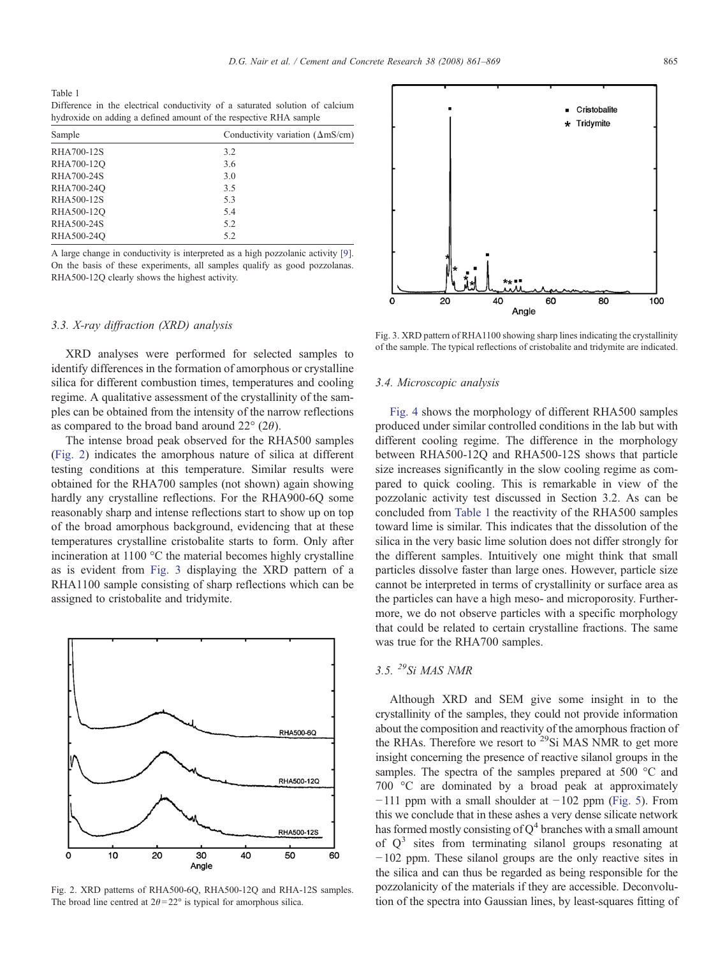<span id="page-4-0"></span>Table 1 Difference in the electrical conductivity of a saturated solution of calcium hydroxide on adding a defined amount of the respective RHA sample

| Sample     | Conductivity variation $(\Delta mS/cm)$ |  |  |  |  |  |
|------------|-----------------------------------------|--|--|--|--|--|
| RHA700-12S | 3.2                                     |  |  |  |  |  |
| RHA700-12Q | 3.6                                     |  |  |  |  |  |
| RHA700-24S | 3.0                                     |  |  |  |  |  |
| RHA700-24O | 3.5                                     |  |  |  |  |  |
| RHA500-12S | 5.3                                     |  |  |  |  |  |
| RHA500-12Q | 5.4                                     |  |  |  |  |  |
| RHA500-24S | 5.2                                     |  |  |  |  |  |
| RHA500-24O | 5.2                                     |  |  |  |  |  |

A large change in conductivity is interpreted as a high pozzolanic activity [\[9\].](#page-8-0) On the basis of these experiments, all samples qualify as good pozzolanas. RHA500-12Q clearly shows the highest activity.

## 3.3. X-ray diffraction (XRD) analysis

XRD analyses were performed for selected samples to identify differences in the formation of amorphous or crystalline silica for different combustion times, temperatures and cooling regime. A qualitative assessment of the crystallinity of the samples can be obtained from the intensity of the narrow reflections as compared to the broad band around  $22^{\circ}$  (2 $\theta$ ).

The intense broad peak observed for the RHA500 samples (Fig. 2) indicates the amorphous nature of silica at different testing conditions at this temperature. Similar results were obtained for the RHA700 samples (not shown) again showing hardly any crystalline reflections. For the RHA900-6Q some reasonably sharp and intense reflections start to show up on top of the broad amorphous background, evidencing that at these temperatures crystalline cristobalite starts to form. Only after incineration at 1100 °C the material becomes highly crystalline as is evident from Fig. 3 displaying the XRD pattern of a RHA1100 sample consisting of sharp reflections which can be assigned to cristobalite and tridymite.



Fig. 2. XRD patterns of RHA500-6Q, RHA500-12Q and RHA-12S samples. The broad line centred at  $2\theta = 22^{\circ}$  is typical for amorphous silica.



Fig. 3. XRD pattern of RHA1100 showing sharp lines indicating the crystallinity of the sample. The typical reflections of cristobalite and tridymite are indicated.

### 3.4. Microscopic analysis

[Fig. 4](#page-5-0) shows the morphology of different RHA500 samples produced under similar controlled conditions in the lab but with different cooling regime. The difference in the morphology between RHA500-12Q and RHA500-12S shows that particle size increases significantly in the slow cooling regime as compared to quick cooling. This is remarkable in view of the pozzolanic activity test discussed in Section 3.2. As can be concluded from Table 1 the reactivity of the RHA500 samples toward lime is similar. This indicates that the dissolution of the silica in the very basic lime solution does not differ strongly for the different samples. Intuitively one might think that small particles dissolve faster than large ones. However, particle size cannot be interpreted in terms of crystallinity or surface area as the particles can have a high meso- and microporosity. Furthermore, we do not observe particles with a specific morphology that could be related to certain crystalline fractions. The same was true for the RHA700 samples.

# 3.5. 29Si MAS NMR

Although XRD and SEM give some insight in to the crystallinity of the samples, they could not provide information about the composition and reactivity of the amorphous fraction of the RHAs. Therefore we resort to  $^{29}$ Si MAS NMR to get more insight concerning the presence of reactive silanol groups in the samples. The spectra of the samples prepared at 500 °C and 700 °C are dominated by a broad peak at approximately −111 ppm with a small shoulder at −102 ppm [\(Fig. 5](#page-5-0)). From this we conclude that in these ashes a very dense silicate network has formed mostly consisting of  $Q<sup>4</sup>$  branches with a small amount of  $Q<sup>3</sup>$  sites from terminating silanol groups resonating at −102 ppm. These silanol groups are the only reactive sites in the silica and can thus be regarded as being responsible for the pozzolanicity of the materials if they are accessible. Deconvolution of the spectra into Gaussian lines, by least-squares fitting of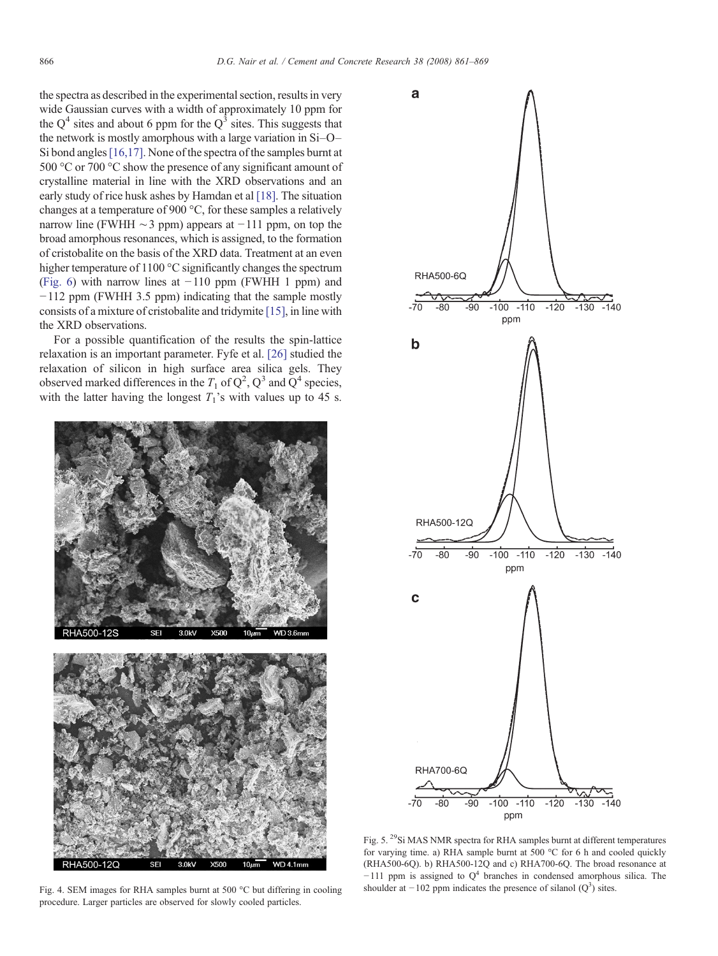<span id="page-5-0"></span>the spectra as described in the experimental section, results in very wide Gaussian curves with a width of approximately 10 ppm for the  $O<sup>4</sup>$  sites and about 6 ppm for the  $O<sup>3</sup>$  sites. This suggests that the network is mostly amorphous with a large variation in Si–O– Si bond angles [\[16,17\].](#page-8-0) None of the spectra of the samples burnt at 500 °C or 700 °C show the presence of any significant amount of crystalline material in line with the XRD observations and an early study of rice husk ashes by Hamdan et al [\[18\].](#page-8-0) The situation changes at a temperature of 900 °C, for these samples a relatively narrow line (FWHH  $\sim$ 3 ppm) appears at −111 ppm, on top the broad amorphous resonances, which is assigned, to the formation of cristobalite on the basis of the XRD data. Treatment at an even higher temperature of 1100 °C significantly changes the spectrum ([Fig. 6](#page-6-0)) with narrow lines at  $-110$  ppm (FWHH 1 ppm) and −112 ppm (FWHH 3.5 ppm) indicating that the sample mostly consists of a mixture of cristobalite and tridymite [\[15\],](#page-8-0) in line with the XRD observations.

For a possible quantification of the results the spin-lattice relaxation is an important parameter. Fyfe et al. [\[26\]](#page-8-0) studied the relaxation of silicon in high surface area silica gels. They observed marked differences in the  $T_1$  of  $Q^2$ ,  $Q^3$  and  $Q^4$  species, with the latter having the longest  $T_1$ 's with values up to 45 s.



procedure. Larger particles are observed for slowly cooled particles.



Fig. 5. <sup>29</sup>Si MAS NMR spectra for RHA samples burnt at different temperatures for varying time. a) RHA sample burnt at 500 °C for 6 h and cooled quickly (RHA500-6Q). b) RHA500-12Q and c) RHA700-6Q. The broad resonance at  $-111$  ppm is assigned to  $Q<sup>4</sup>$  branches in condensed amorphous silica. The Fig. 4. SEM images for RHA samples burnt at 500 °C but differing in cooling shoulder at −102 ppm indicates the presence of silanol ( $Q<sup>3</sup>$ ) sites.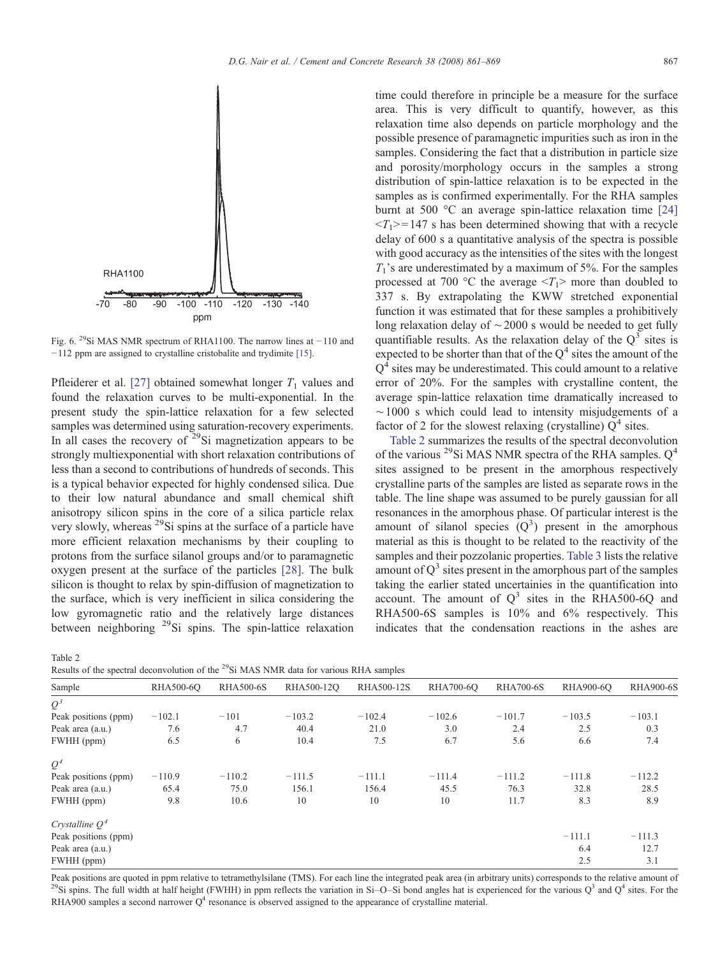<span id="page-6-0"></span>

Fig. 6. <sup>29</sup>Si MAS NMR spectrum of RHA1100. The narrow lines at  $-110$  and −112 ppm are assigned to crystalline cristobalite and trydimite [\[15\].](#page-8-0)

Pfleiderer et al. [\[27\]](#page-8-0) obtained somewhat longer  $T_1$  values and found the relaxation curves to be multi-exponential. In the present study the spin-lattice relaxation for a few selected samples was determined using saturation-recovery experiments. In all cases the recovery of <sup>29</sup>Si magnetization appears to be strongly multiexponential with short relaxation contributions of less than a second to contributions of hundreds of seconds. This is a typical behavior expected for highly condensed silica. Due to their low natural abundance and small chemical shift anisotropy silicon spins in the core of a silica particle relax very slowly, whereas <sup>29</sup>Si spins at the surface of a particle have more efficient relaxation mechanisms by their coupling to protons from the surface silanol groups and/or to paramagnetic oxygen present at the surface of the particles [\[28\].](#page-8-0) The bulk silicon is thought to relax by spin-diffusion of magnetization to the surface, which is very inefficient in silica considering the low gyromagnetic ratio and the relatively large distances between neighboring <sup>29</sup>Si spins. The spin-lattice relaxation

| Table 2                                                                                            |  |  |  |  |
|----------------------------------------------------------------------------------------------------|--|--|--|--|
| Results of the spectral deconvolution of the <sup>29</sup> Si MAS NMR data for various RHA samples |  |  |  |  |

time could therefore in principle be a measure for the surface area. This is very difficult to quantify, however, as this relaxation time also depends on particle morphology and the possible presence of paramagnetic impurities such as iron in the samples. Considering the fact that a distribution in particle size and porosity/morphology occurs in the samples a strong distribution of spin-lattice relaxation is to be expected in the samples as is confirmed experimentally. For the RHA samples burnt at 500 °C an average spin-lattice relaxation time [\[24\]](#page-8-0)  $\langle T_1 \rangle = 147$  s has been determined showing that with a recycle delay of 600 s a quantitative analysis of the spectra is possible with good accuracy as the intensities of the sites with the longest  $T_1$ 's are underestimated by a maximum of 5%. For the samples processed at 700 °C the average  $\langle T_1 \rangle$  more than doubled to 337 s. By extrapolating the KWW stretched exponential function it was estimated that for these samples a prohibitively long relaxation delay of ∼2000 s would be needed to get fully quantifiable results. As the relaxation delay of the  $Q<sup>3</sup>$  sites is expected to be shorter than that of the  $Q<sup>4</sup>$  sites the amount of the  $Q<sup>4</sup>$  sites may be underestimated. This could amount to a relative error of 20%. For the samples with crystalline content, the average spin-lattice relaxation time dramatically increased to ∼1000 s which could lead to intensity misjudgements of a factor of 2 for the slowest relaxing (crystalline)  $Q<sup>4</sup>$  sites.

Table 2 summarizes the results of the spectral deconvolution of the various  $^{29}$ Si MAS NMR spectra of the RHA samples.  $Q^4$ sites assigned to be present in the amorphous respectively crystalline parts of the samples are listed as separate rows in the table. The line shape was assumed to be purely gaussian for all resonances in the amorphous phase. Of particular interest is the amount of silanol species  $(Q^3)$  present in the amorphous material as this is thought to be related to the reactivity of the samples and their pozzolanic properties. [Table 3](#page-7-0) lists the relative amount of  $Q<sup>3</sup>$  sites present in the amorphous part of the samples taking the earlier stated uncertainies in the quantification into account. The amount of  $Q^3$  sites in the RHA500-6Q and RHA500-6S samples is 10% and 6% respectively. This indicates that the condensation reactions in the ashes are

| recounts of the special deconvolution of the software functional various refirs sumples |           |                  |            |            |           |                  |           |                  |  |
|-----------------------------------------------------------------------------------------|-----------|------------------|------------|------------|-----------|------------------|-----------|------------------|--|
| Sample                                                                                  | RHA500-6O | <b>RHA500-6S</b> | RHA500-12O | RHA500-12S | RHA700-6O | <b>RHA700-6S</b> | RHA900-6O | <b>RHA900-6S</b> |  |
| $Q^3$                                                                                   |           |                  |            |            |           |                  |           |                  |  |
| Peak positions (ppm)                                                                    | $-102.1$  | $-101$           | $-103.2$   | $-102.4$   | $-102.6$  | $-101.7$         | $-103.5$  | $-103.1$         |  |
| Peak area (a.u.)                                                                        | 7.6       | 4.7              | 40.4       | 21.0       | 3.0       | 2.4              | 2.5       | 0.3              |  |
| FWHH (ppm)                                                                              | 6.5       | 6                | 10.4       | 7.5        | 6.7       | 5.6              | 6.6       | 7.4              |  |
| $Q^4$                                                                                   |           |                  |            |            |           |                  |           |                  |  |
| Peak positions (ppm)                                                                    | $-110.9$  | $-110.2$         | $-111.5$   | $-111.1$   | $-111.4$  | $-111.2$         | $-111.8$  | $-112.2$         |  |
| Peak area (a.u.)                                                                        | 65.4      | 75.0             | 156.1      | 156.4      | 45.5      | 76.3             | 32.8      | 28.5             |  |
| FWHH (ppm)                                                                              | 9.8       | 10.6             | 10         | 10         | 10        | 11.7             | 8.3       | 8.9              |  |
| Crystalline $Q^4$                                                                       |           |                  |            |            |           |                  |           |                  |  |
| Peak positions (ppm)                                                                    |           |                  |            |            |           |                  | $-111.1$  | $-111.3$         |  |
| Peak area (a.u.)                                                                        |           |                  |            |            |           |                  | 6.4       | 12.7             |  |
| FWHH (ppm)                                                                              |           |                  |            |            |           |                  | 2.5       | 3.1              |  |

Peak positions are quoted in ppm relative to tetramethylsilane (TMS). For each line the integrated peak area (in arbitrary units) corresponds to the relative amount of <sup>29</sup>Si spins. The full width at half height (FWHH) in ppm reflects the variation in Si–O–Si bond angles hat is experienced for the various  $Q^3$  and  $Q^4$  sites. For the RHA900 samples a second narrower  $Q<sup>4</sup>$  resonance is observed assigned to the appearance of crystalline material.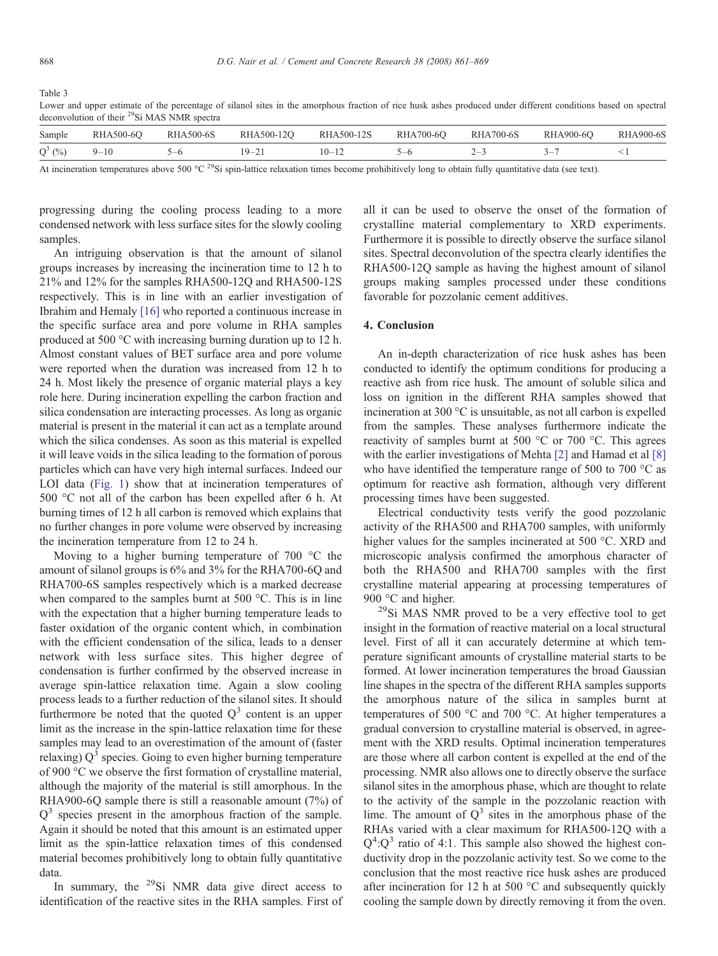<span id="page-7-0"></span>Table 3

Lower and upper estimate of the percentage of silanol sites in the amorphous fraction of rice husk ashes produced under different conditions based on spectral deconvolution of their 29Si MAS NMR spectra

| Sample    | RHA500-6O | <b>RHA500-6S</b> | RHA500-12O | RHA500-12S | RHA700-6O | <b>RHA700-6S</b> | <b>RHA900-6O</b> | <b>RHA900-6S</b> |
|-----------|-----------|------------------|------------|------------|-----------|------------------|------------------|------------------|
| $Q^3$ (%) | $9 - 10$  |                  | $\sim$ 1   |            |           |                  |                  |                  |
|           |           |                  |            |            |           |                  |                  |                  |

At incineration temperatures above 500 °C <sup>29</sup>Si spin-lattice relaxation times become prohibitively long to obtain fully quantitative data (see text).

progressing during the cooling process leading to a more condensed network with less surface sites for the slowly cooling samples.

An intriguing observation is that the amount of silanol groups increases by increasing the incineration time to 12 h to 21% and 12% for the samples RHA500-12Q and RHA500-12S respectively. This is in line with an earlier investigation of Ibrahim and Hemaly [\[16\]](#page-8-0) who reported a continuous increase in the specific surface area and pore volume in RHA samples produced at 500 °C with increasing burning duration up to 12 h. Almost constant values of BET surface area and pore volume were reported when the duration was increased from 12 h to 24 h. Most likely the presence of organic material plays a key role here. During incineration expelling the carbon fraction and silica condensation are interacting processes. As long as organic material is present in the material it can act as a template around which the silica condenses. As soon as this material is expelled it will leave voids in the silica leading to the formation of porous particles which can have very high internal surfaces. Indeed our LOI data [\(Fig. 1\)](#page-3-0) show that at incineration temperatures of 500 °C not all of the carbon has been expelled after 6 h. At burning times of 12 h all carbon is removed which explains that no further changes in pore volume were observed by increasing the incineration temperature from 12 to 24 h.

Moving to a higher burning temperature of 700 °C the amount of silanol groups is 6% and 3% for the RHA700-6Q and RHA700-6S samples respectively which is a marked decrease when compared to the samples burnt at 500 °C. This is in line with the expectation that a higher burning temperature leads to faster oxidation of the organic content which, in combination with the efficient condensation of the silica, leads to a denser network with less surface sites. This higher degree of condensation is further confirmed by the observed increase in average spin-lattice relaxation time. Again a slow cooling process leads to a further reduction of the silanol sites. It should furthermore be noted that the quoted  $Q<sup>3</sup>$  content is an upper limit as the increase in the spin-lattice relaxation time for these samples may lead to an overestimation of the amount of (faster relaxing)  $Q<sup>3</sup>$  species. Going to even higher burning temperature of 900 °C we observe the first formation of crystalline material, although the majority of the material is still amorphous. In the RHA900-6Q sample there is still a reasonable amount (7%) of  $Q<sup>3</sup>$  species present in the amorphous fraction of the sample. Again it should be noted that this amount is an estimated upper limit as the spin-lattice relaxation times of this condensed material becomes prohibitively long to obtain fully quantitative data.

In summary, the  $^{29}$ Si NMR data give direct access to identification of the reactive sites in the RHA samples. First of all it can be used to observe the onset of the formation of crystalline material complementary to XRD experiments. Furthermore it is possible to directly observe the surface silanol sites. Spectral deconvolution of the spectra clearly identifies the RHA500-12Q sample as having the highest amount of silanol groups making samples processed under these conditions favorable for pozzolanic cement additives.

## 4. Conclusion

An in-depth characterization of rice husk ashes has been conducted to identify the optimum conditions for producing a reactive ash from rice husk. The amount of soluble silica and loss on ignition in the different RHA samples showed that incineration at 300 °C is unsuitable, as not all carbon is expelled from the samples. These analyses furthermore indicate the reactivity of samples burnt at 500 °C or 700 °C. This agrees with the earlier investigations of Mehta [\[2\]](#page-8-0) and Hamad et al [\[8\]](#page-8-0) who have identified the temperature range of 500 to 700 °C as optimum for reactive ash formation, although very different processing times have been suggested.

Electrical conductivity tests verify the good pozzolanic activity of the RHA500 and RHA700 samples, with uniformly higher values for the samples incinerated at 500 °C. XRD and microscopic analysis confirmed the amorphous character of both the RHA500 and RHA700 samples with the first crystalline material appearing at processing temperatures of 900 °C and higher.

 $^{29}$ Si MAS NMR proved to be a very effective tool to get insight in the formation of reactive material on a local structural level. First of all it can accurately determine at which temperature significant amounts of crystalline material starts to be formed. At lower incineration temperatures the broad Gaussian line shapes in the spectra of the different RHA samples supports the amorphous nature of the silica in samples burnt at temperatures of 500 °C and 700 °C. At higher temperatures a gradual conversion to crystalline material is observed, in agreement with the XRD results. Optimal incineration temperatures are those where all carbon content is expelled at the end of the processing. NMR also allows one to directly observe the surface silanol sites in the amorphous phase, which are thought to relate to the activity of the sample in the pozzolanic reaction with lime. The amount of  $Q<sup>3</sup>$  sites in the amorphous phase of the RHAs varied with a clear maximum for RHA500-12Q with a  $Q^4$ : $Q^3$  ratio of 4:1. This sample also showed the highest conductivity drop in the pozzolanic activity test. So we come to the conclusion that the most reactive rice husk ashes are produced after incineration for 12 h at 500 °C and subsequently quickly cooling the sample down by directly removing it from the oven.